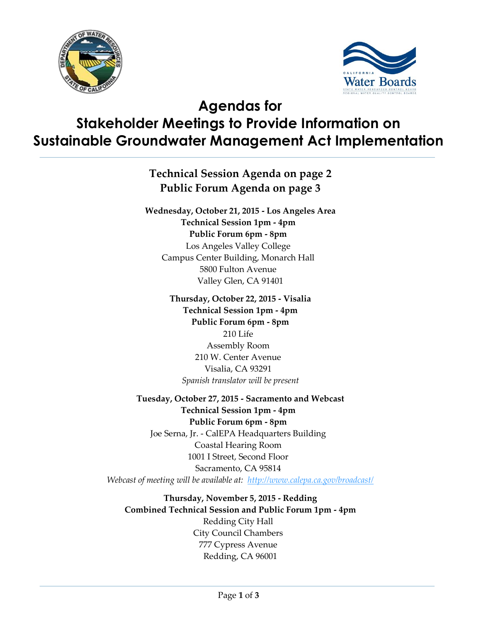



# **Agendas for Stakeholder Meetings to Provide Information on Sustainable Groundwater Management Act Implementation**

**Technical Session Agenda on page 2 Public Forum Agenda on page 3**

**Wednesday, October 21, 2015 - Los Angeles Area Technical Session 1pm - 4pm Public Forum 6pm - 8pm** Los Angeles Valley College Campus Center Building, Monarch Hall 5800 Fulton Avenue Valley Glen, CA 91401

> **Thursday, October 22, 2015 - Visalia Technical Session 1pm - 4pm Public Forum 6pm - 8pm**  210 Life Assembly Room 210 W. Center Avenue Visalia, CA 93291 *Spanish translator will be present*

**Tuesday, October 27, 2015 - Sacramento and Webcast Technical Session 1pm - 4pm Public Forum 6pm - 8pm** Joe Serna, Jr. - CalEPA Headquarters Building Coastal Hearing Room 1001 I Street, Second Floor Sacramento, CA 95814 *Webcast of meeting will be available at: <http://www.calepa.ca.gov/broadcast/>*

**Thursday, November 5, 2015 - Redding Combined Technical Session and Public Forum 1pm - 4pm** Redding City Hall City Council Chambers 777 Cypress Avenue Redding, CA 96001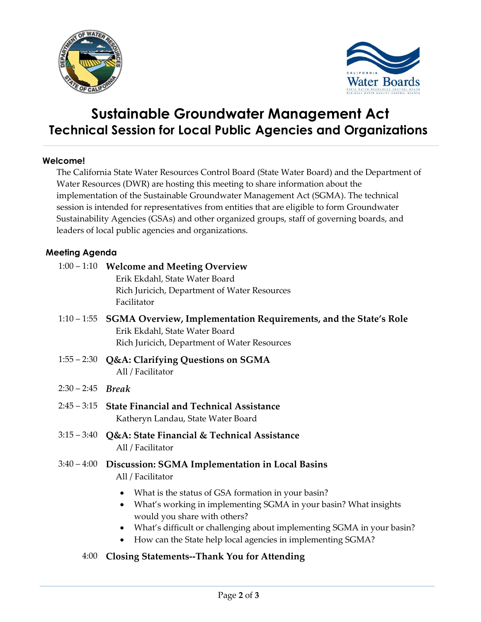



## **Sustainable Groundwater Management Act Technical Session for Local Public Agencies and Organizations**

#### **Welcome!**

The California State Water Resources Control Board (State Water Board) and the Department of Water Resources (DWR) are hosting this meeting to share information about the implementation of the Sustainable Groundwater Management Act (SGMA). The technical session is intended for representatives from entities that are eligible to form Groundwater Sustainability Agencies (GSAs) and other organized groups, staff of governing boards, and leaders of local public agencies and organizations.

#### **Meeting Agenda**

|                     | 1:00 - 1:10 Welcome and Meeting Overview                                                                                                                       |
|---------------------|----------------------------------------------------------------------------------------------------------------------------------------------------------------|
|                     | Erik Ekdahl, State Water Board                                                                                                                                 |
|                     | Rich Juricich, Department of Water Resources                                                                                                                   |
|                     | Facilitator                                                                                                                                                    |
|                     | 1:10 – 1:55 SGMA Overview, Implementation Requirements, and the State's Role<br>Erik Ekdahl, State Water Board<br>Rich Juricich, Department of Water Resources |
|                     |                                                                                                                                                                |
|                     | 1:55 – 2:30 Q&A: Clarifying Questions on SGMA<br>All / Facilitator                                                                                             |
| $2:30 - 2:45$ Break |                                                                                                                                                                |
|                     | 2:45 – 3:15 State Financial and Technical Assistance                                                                                                           |
|                     | Katheryn Landau, State Water Board                                                                                                                             |
| $3:15 - 3:40$       | Q&A: State Financial & Technical Assistance                                                                                                                    |
|                     | All / Facilitator                                                                                                                                              |
| $3:40 - 4:00$       | Discussion: SGMA Implementation in Local Basins<br>All / Facilitator                                                                                           |
|                     | What is the status of GSA formation in your basin?<br>$\bullet$<br>$M_{\rm tot}$ would a in implementing $C_{\rm L}$ (A) in your begin. What incights          |

- What's working in implementing SGMA in your basin? What insights would you share with others?
- What's difficult or challenging about implementing SGMA in your basin?
- How can the State help local agencies in implementing SGMA?
- 4:00 **Closing Statements--Thank You for Attending**